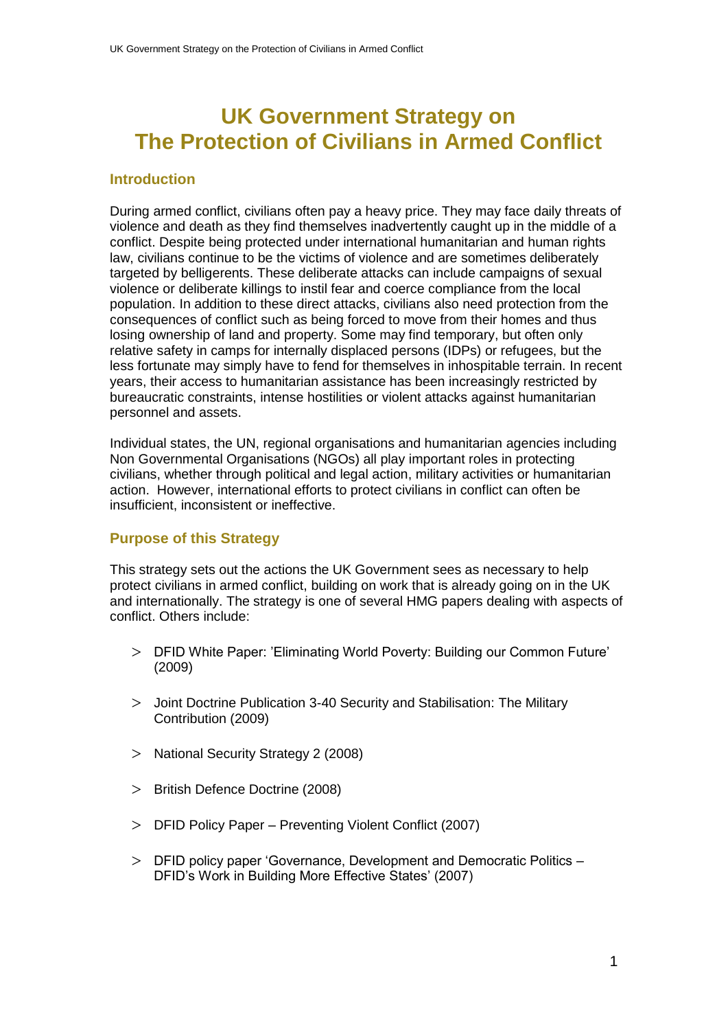# **UK Government Strategy on The Protection of Civilians in Armed Conflict**

#### **Introduction**

During armed conflict, civilians often pay a heavy price. They may face daily threats of violence and death as they find themselves inadvertently caught up in the middle of a conflict. Despite being protected under international humanitarian and human rights law, civilians continue to be the victims of violence and are sometimes deliberately targeted by belligerents. These deliberate attacks can include campaigns of sexual violence or deliberate killings to instil fear and coerce compliance from the local population. In addition to these direct attacks, civilians also need protection from the consequences of conflict such as being forced to move from their homes and thus losing ownership of land and property. Some may find temporary, but often only relative safety in camps for internally displaced persons (IDPs) or refugees, but the less fortunate may simply have to fend for themselves in inhospitable terrain. In recent years, their access to humanitarian assistance has been increasingly restricted by bureaucratic constraints, intense hostilities or violent attacks against humanitarian personnel and assets.

Individual states, the UN, regional organisations and humanitarian agencies including Non Governmental Organisations (NGOs) all play important roles in protecting civilians, whether through political and legal action, military activities or humanitarian action. However, international efforts to protect civilians in conflict can often be insufficient, inconsistent or ineffective.

## **Purpose of this Strategy**

This strategy sets out the actions the UK Government sees as necessary to help protect civilians in armed conflict, building on work that is already going on in the UK and internationally. The strategy is one of several HMG papers dealing with aspects of conflict. Others include:

- DFID White Paper: "Eliminating World Poverty: Building our Common Future" (2009)
- Joint Doctrine Publication 3-40 Security and Stabilisation: The Military Contribution (2009)
- > National Security Strategy 2 (2008)
- > British Defence Doctrine (2008)
- DFID Policy Paper Preventing Violent Conflict (2007)
- DFID policy paper "Governance, Development and Democratic Politics DFID's Work in Building More Effective States' (2007)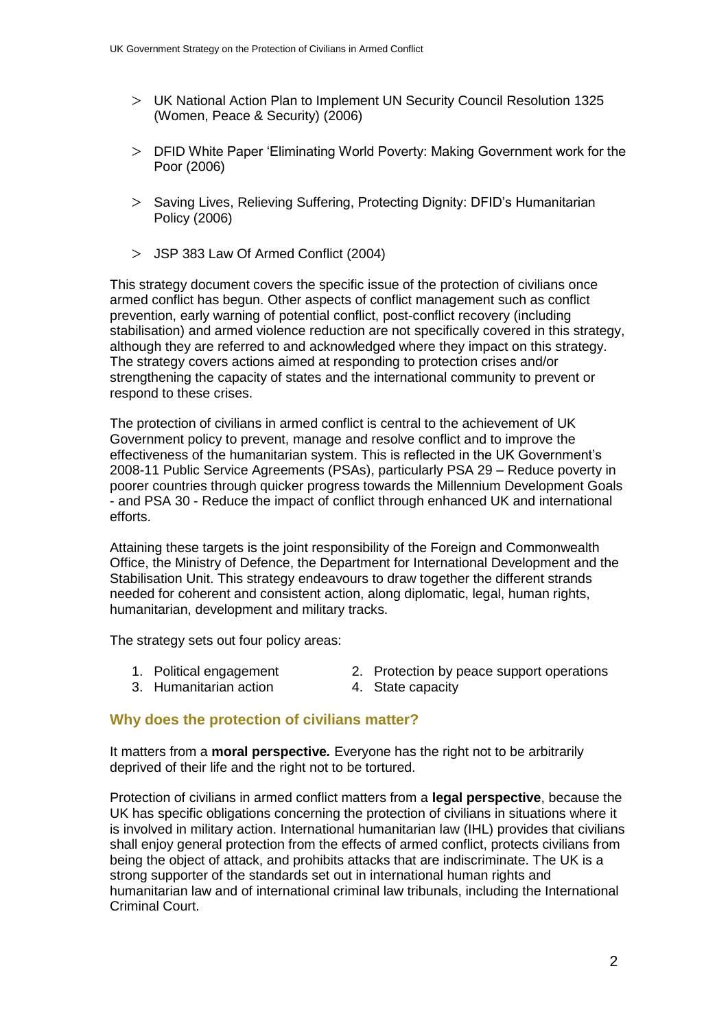- UK National Action Plan to Implement UN Security Council Resolution 1325 (Women, Peace & Security) (2006)
- DFID White Paper "Eliminating World Poverty: Making Government work for the Poor (2006)
- Saving Lives, Relieving Suffering, Protecting Dignity: DFID"s Humanitarian Policy (2006)
- JSP 383 Law Of Armed Conflict (2004)

This strategy document covers the specific issue of the protection of civilians once armed conflict has begun. Other aspects of conflict management such as conflict prevention, early warning of potential conflict, post-conflict recovery (including stabilisation) and armed violence reduction are not specifically covered in this strategy, although they are referred to and acknowledged where they impact on this strategy. The strategy covers actions aimed at responding to protection crises and/or strengthening the capacity of states and the international community to prevent or respond to these crises.

The protection of civilians in armed conflict is central to the achievement of UK Government policy to prevent, manage and resolve conflict and to improve the effectiveness of the humanitarian system. This is reflected in the UK Government"s 2008-11 Public Service Agreements (PSAs), particularly PSA 29 – Reduce poverty in poorer countries through quicker progress towards the Millennium Development Goals - and PSA 30 - Reduce the impact of conflict through enhanced UK and international efforts.

Attaining these targets is the joint responsibility of the Foreign and Commonwealth Office, the Ministry of Defence, the Department for International Development and the Stabilisation Unit. This strategy endeavours to draw together the different strands needed for coherent and consistent action, along diplomatic, legal, human rights, humanitarian, development and military tracks.

The strategy sets out four policy areas:

- 
- 1. Political engagement 2. Protection by peace support operations
- 3. Humanitarian action **4.** State capacity
- 

# **Why does the protection of civilians matter?**

It matters from a **moral perspective***.* Everyone has the right not to be arbitrarily deprived of their life and the right not to be tortured.

Protection of civilians in armed conflict matters from a **legal perspective**, because the UK has specific obligations concerning the protection of civilians in situations where it is involved in military action. International humanitarian law (IHL) provides that civilians shall enjoy general protection from the effects of armed conflict, protects civilians from being the object of attack, and prohibits attacks that are indiscriminate. The UK is a strong supporter of the standards set out in international human rights and humanitarian law and of international criminal law tribunals, including the International Criminal Court.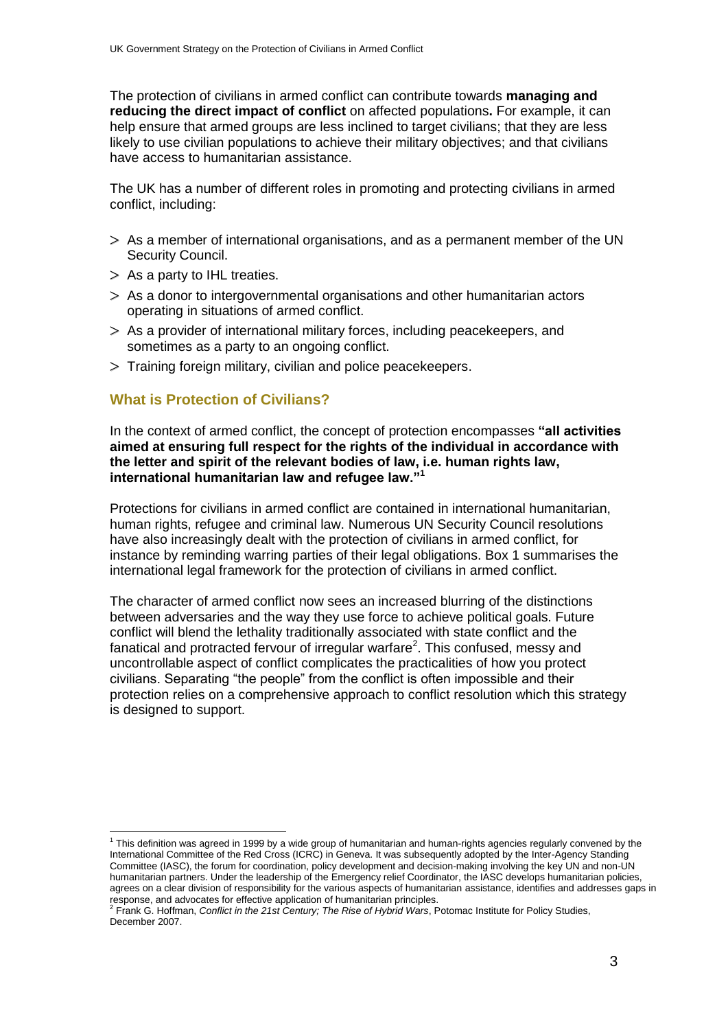The protection of civilians in armed conflict can contribute towards **managing and reducing the direct impact of conflict** on affected populations**.** For example, it can help ensure that armed groups are less inclined to target civilians; that they are less likely to use civilian populations to achieve their military objectives; and that civilians have access to humanitarian assistance.

The UK has a number of different roles in promoting and protecting civilians in armed conflict, including:

- $>$  As a member of international organisations, and as a permanent member of the UN Security Council.
- $>$  As a party to IHL treaties.
- $>$  As a donor to intergovernmental organisations and other humanitarian actors operating in situations of armed conflict.
- As a provider of international military forces, including peacekeepers, and sometimes as a party to an ongoing conflict.
- $>$  Training foreign military, civilian and police peacekeepers.

# **What is Protection of Civilians?**

In the context of armed conflict, the concept of protection encompasses **"all activities aimed at ensuring full respect for the rights of the individual in accordance with the letter and spirit of the relevant bodies of law, i.e. human rights law, international humanitarian law and refugee law."<sup>1</sup>**

Protections for civilians in armed conflict are contained in international humanitarian, human rights, refugee and criminal law. Numerous UN Security Council resolutions have also increasingly dealt with the protection of civilians in armed conflict, for instance by reminding warring parties of their legal obligations. Box 1 summarises the international legal framework for the protection of civilians in armed conflict.

The character of armed conflict now sees an increased blurring of the distinctions between adversaries and the way they use force to achieve political goals. Future conflict will blend the lethality traditionally associated with state conflict and the fanatical and protracted fervour of irregular warfare<sup>2</sup>. This confused, messy and uncontrollable aspect of conflict complicates the practicalities of how you protect civilians. Separating "the people" from the conflict is often impossible and their protection relies on a comprehensive approach to conflict resolution which this strategy is designed to support.

 1 This definition was agreed in 1999 by a wide group of humanitarian and human-rights agencies regularly convened by the International Committee of the Red Cross (ICRC) in Geneva. It was subsequently adopted by the Inter-Agency Standing Committee (IASC), the forum for coordination, policy development and decision-making involving the key UN and non-UN humanitarian partners. Under the leadership of the Emergency relief Coordinator, the IASC develops humanitarian policies, agrees on a clear division of responsibility for the various aspects of humanitarian assistance, identifies and addresses gaps in

response, and advocates for effective application of humanitarian principles. 2 Frank G. Hoffman, *Conflict in the 21st Century; The Rise of Hybrid Wars*, Potomac Institute for Policy Studies, December 2007.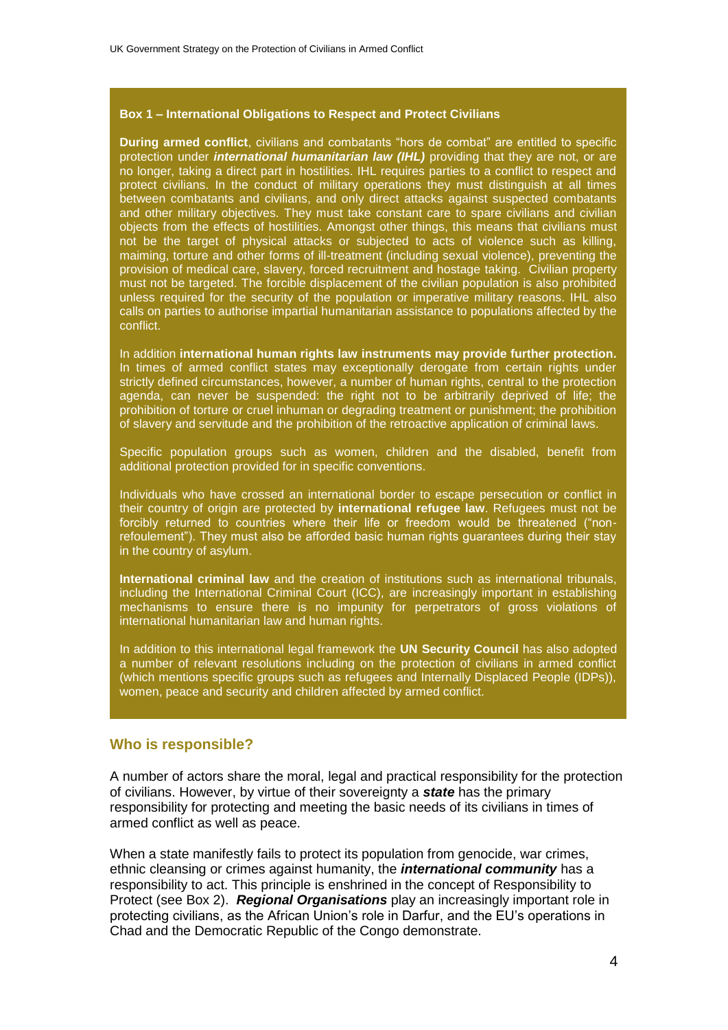#### **Box 1 – International Obligations to Respect and Protect Civilians**

**During armed conflict**, civilians and combatants "hors de combat" are entitled to specific protection under *international humanitarian law (IHL)* providing that they are not, or are no longer, taking a direct part in hostilities. IHL requires parties to a conflict to respect and protect civilians. In the conduct of military operations they must distinguish at all times between combatants and civilians, and only direct attacks against suspected combatants and other military objectives. They must take constant care to spare civilians and civilian objects from the effects of hostilities. Amongst other things, this means that civilians must not be the target of physical attacks or subjected to acts of violence such as killing, maiming, torture and other forms of ill-treatment (including sexual violence), preventing the provision of medical care, slavery, forced recruitment and hostage taking. Civilian property must not be targeted. The forcible displacement of the civilian population is also prohibited unless required for the security of the population or imperative military reasons. IHL also calls on parties to authorise impartial humanitarian assistance to populations affected by the conflict.

In addition **international human rights law instruments may provide further protection.** In times of armed conflict states may exceptionally derogate from certain rights under strictly defined circumstances, however, a number of human rights, central to the protection agenda, can never be suspended: the right not to be arbitrarily deprived of life; the prohibition of torture or cruel inhuman or degrading treatment or punishment; the prohibition of slavery and servitude and the prohibition of the retroactive application of criminal laws.

Specific population groups such as women, children and the disabled, benefit from additional protection provided for in specific conventions.

Individuals who have crossed an international border to escape persecution or conflict in their country of origin are protected by **international refugee law**. Refugees must not be forcibly returned to countries where their life or freedom would be threatened ("nonrefoulement"). They must also be afforded basic human rights guarantees during their stay in the country of asylum.

**International criminal law** and the creation of institutions such as international tribunals, including the International Criminal Court (ICC), are increasingly important in establishing mechanisms to ensure there is no impunity for perpetrators of gross violations of international humanitarian law and human rights.

In addition to this international legal framework the **UN Security Council** has also adopted a number of relevant resolutions including on the protection of civilians in armed conflict (which mentions specific groups such as refugees and Internally Displaced People (IDPs)), women, peace and security and children affected by armed conflict.

#### **Who is responsible?**

A number of actors share the moral, legal and practical responsibility for the protection of civilians. However, by virtue of their sovereignty a *state* has the primary responsibility for protecting and meeting the basic needs of its civilians in times of armed conflict as well as peace.

When a state manifestly fails to protect its population from genocide, war crimes, ethnic cleansing or crimes against humanity, the *international community* has a responsibility to act. This principle is enshrined in the concept of Responsibility to Protect (see Box 2). *Regional Organisations* play an increasingly important role in protecting civilians, as the African Union"s role in Darfur, and the EU"s operations in Chad and the Democratic Republic of the Congo demonstrate.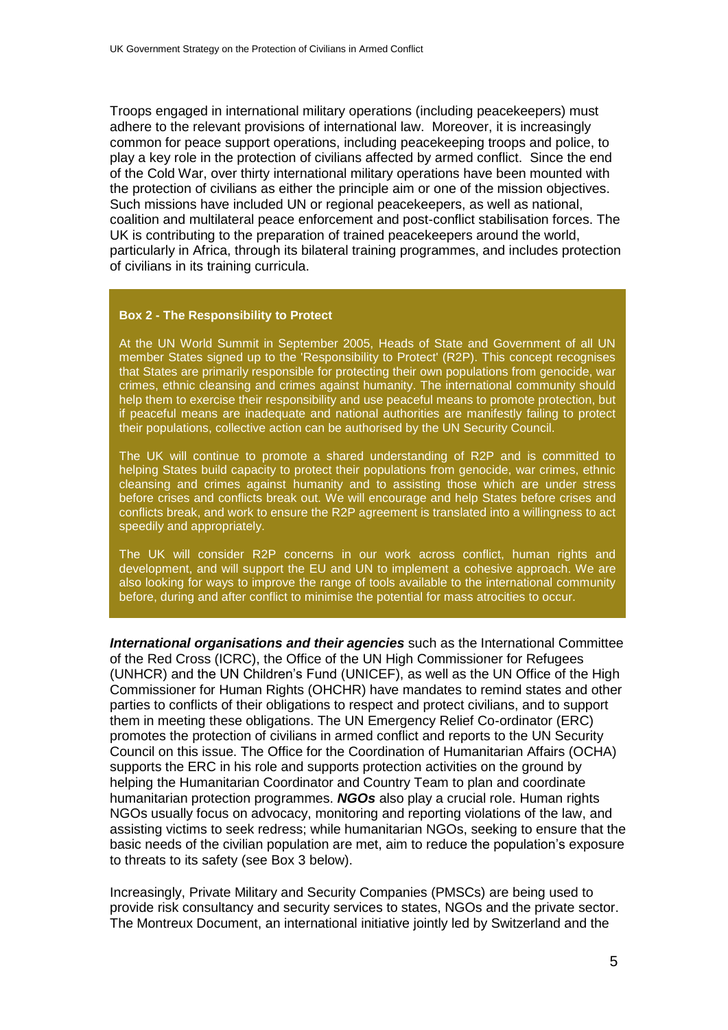Troops engaged in international military operations (including peacekeepers) must adhere to the relevant provisions of international law. Moreover, it is increasingly common for peace support operations, including peacekeeping troops and police, to play a key role in the protection of civilians affected by armed conflict. Since the end of the Cold War, over thirty international military operations have been mounted with the protection of civilians as either the principle aim or one of the mission objectives. Such missions have included UN or regional peacekeepers, as well as national, coalition and multilateral peace enforcement and post-conflict stabilisation forces. The UK is contributing to the preparation of trained peacekeepers around the world, particularly in Africa, through its bilateral training programmes, and includes protection of civilians in its training curricula.

#### **Box 2 - The Responsibility to Protect**

At the UN World Summit in September 2005, Heads of State and Government of all UN member States signed up to the 'Responsibility to Protect' (R2P). This concept recognises that States are primarily responsible for protecting their own populations from genocide, war crimes, ethnic cleansing and crimes against humanity. The international community should help them to exercise their responsibility and use peaceful means to promote protection, but if peaceful means are inadequate and national authorities are manifestly failing to protect their populations, collective action can be authorised by the UN Security Council.

The UK will continue to promote a shared understanding of R2P and is committed to helping States build capacity to protect their populations from genocide, war crimes, ethnic cleansing and crimes against humanity and to assisting those which are under stress before crises and conflicts break out. We will encourage and help States before crises and conflicts break, and work to ensure the R2P agreement is translated into a willingness to act speedily and appropriately.

The UK will consider R2P concerns in our work across conflict, human rights and development, and will support the EU and UN to implement a cohesive approach. We are also looking for ways to improve the range of tools available to the international community before, during and after conflict to minimise the potential for mass atrocities to occur.

*International organisations and their agencies* such as the International Committee of the Red Cross (ICRC), the Office of the UN High Commissioner for Refugees (UNHCR) and the UN Children"s Fund (UNICEF), as well as the UN Office of the High Commissioner for Human Rights (OHCHR) have mandates to remind states and other parties to conflicts of their obligations to respect and protect civilians, and to support them in meeting these obligations. The UN Emergency Relief Co-ordinator (ERC) promotes the protection of civilians in armed conflict and reports to the UN Security Council on this issue. The Office for the Coordination of Humanitarian Affairs (OCHA) supports the ERC in his role and supports protection activities on the ground by helping the Humanitarian Coordinator and Country Team to plan and coordinate humanitarian protection programmes. *NGOs* also play a crucial role. Human rights NGOs usually focus on advocacy, monitoring and reporting violations of the law, and assisting victims to seek redress; while humanitarian NGOs, seeking to ensure that the basic needs of the civilian population are met, aim to reduce the population"s exposure to threats to its safety (see Box 3 below).

Increasingly, Private Military and Security Companies (PMSCs) are being used to provide risk consultancy and security services to states, NGOs and the private sector. The Montreux Document, an international initiative jointly led by Switzerland and the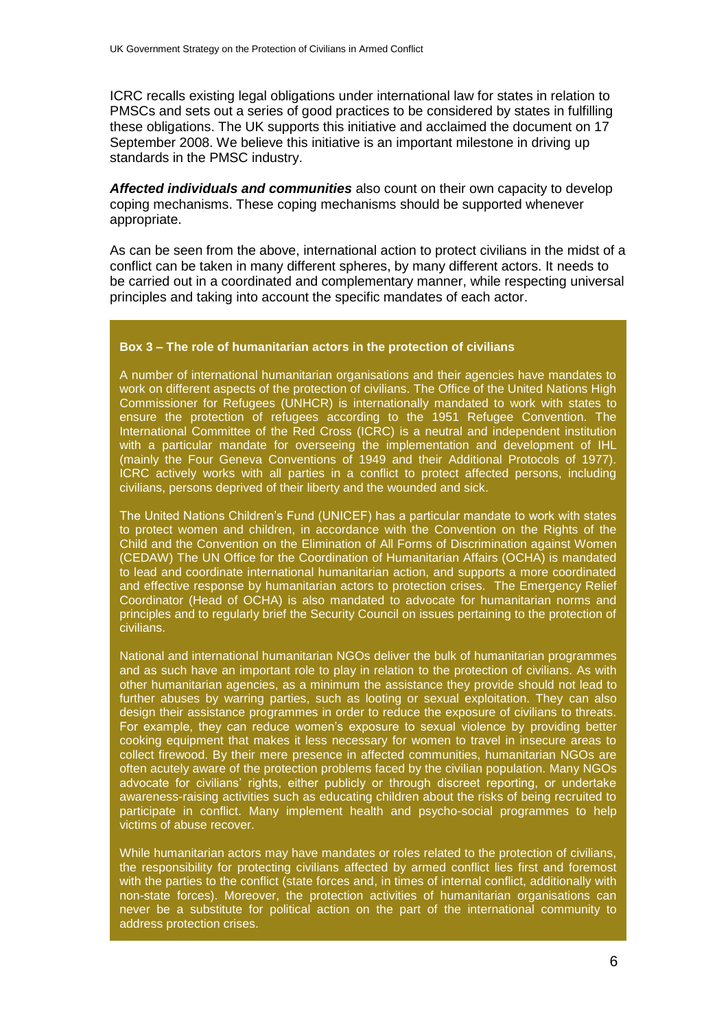ICRC recalls existing legal obligations under international law for states in relation to PMSCs and sets out a series of good practices to be considered by states in fulfilling these obligations. The UK supports this initiative and acclaimed the document on 17 September 2008. We believe this initiative is an important milestone in driving up standards in the PMSC industry.

*Affected individuals and communities* also count on their own capacity to develop coping mechanisms. These coping mechanisms should be supported whenever appropriate.

As can be seen from the above, international action to protect civilians in the midst of a conflict can be taken in many different spheres, by many different actors. It needs to be carried out in a coordinated and complementary manner, while respecting universal principles and taking into account the specific mandates of each actor.

#### **Box 3 – The role of humanitarian actors in the protection of civilians**

A number of international humanitarian organisations and their agencies have mandates to work on different aspects of the protection of civilians. The Office of the United Nations High Commissioner for Refugees (UNHCR) is internationally mandated to work with states to ensure the protection of refugees according to the 1951 Refugee Convention. The International Committee of the Red Cross (ICRC) is a neutral and independent institution with a particular mandate for overseeing the implementation and development of IHL (mainly the Four Geneva Conventions of 1949 and their Additional Protocols of 1977). ICRC actively works with all parties in a conflict to protect affected persons, including civilians, persons deprived of their liberty and the wounded and sick.

The United Nations Children"s Fund (UNICEF) has a particular mandate to work with states to protect women and children, in accordance with the Convention on the Rights of the Child and the Convention on the Elimination of All Forms of Discrimination against Women (CEDAW) The UN Office for the Coordination of Humanitarian Affairs (OCHA) is mandated to lead and coordinate international humanitarian action, and supports a more coordinated and effective response by humanitarian actors to protection crises. The Emergency Relief Coordinator (Head of OCHA) is also mandated to advocate for humanitarian norms and principles and to regularly brief the Security Council on issues pertaining to the protection of civilians.

National and international humanitarian NGOs deliver the bulk of humanitarian programmes and as such have an important role to play in relation to the protection of civilians. As with other humanitarian agencies, as a minimum the assistance they provide should not lead to further abuses by warring parties, such as looting or sexual exploitation. They can also design their assistance programmes in order to reduce the exposure of civilians to threats. For example, they can reduce women's exposure to sexual violence by providing better cooking equipment that makes it less necessary for women to travel in insecure areas to collect firewood. By their mere presence in affected communities, humanitarian NGOs are often acutely aware of the protection problems faced by the civilian population. Many NGOs advocate for civilians' rights, either publicly or through discreet reporting, or undertake awareness-raising activities such as educating children about the risks of being recruited to participate in conflict. Many implement health and psycho-social programmes to help victims of abuse recover.

While humanitarian actors may have mandates or roles related to the protection of civilians, the responsibility for protecting civilians affected by armed conflict lies first and foremost with the parties to the conflict (state forces and, in times of internal conflict, additionally with non-state forces). Moreover, the protection activities of humanitarian organisations can never be a substitute for political action on the part of the international community to address protection crises.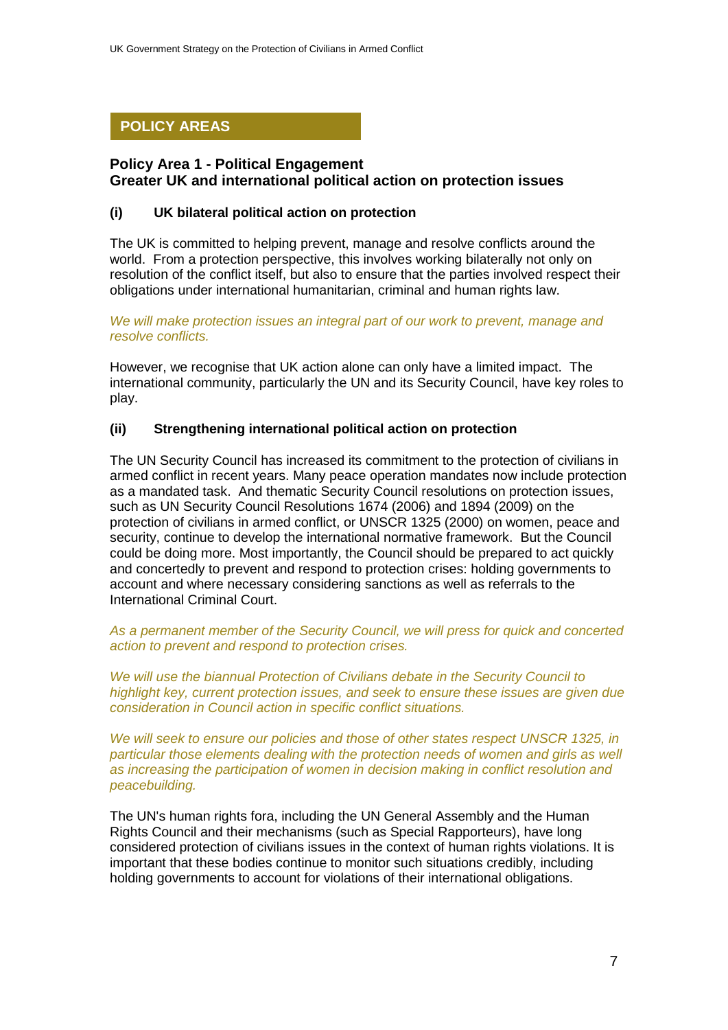# **POLICY AREAS**

# **Policy Area 1 - Political Engagement Greater UK and international political action on protection issues**

# **(i) UK bilateral political action on protection**

The UK is committed to helping prevent, manage and resolve conflicts around the world. From a protection perspective, this involves working bilaterally not only on resolution of the conflict itself, but also to ensure that the parties involved respect their obligations under international humanitarian, criminal and human rights law.

*We will make protection issues an integral part of our work to prevent, manage and resolve conflicts.* 

However, we recognise that UK action alone can only have a limited impact. The international community, particularly the UN and its Security Council, have key roles to play.

## **(ii) Strengthening international political action on protection**

The UN Security Council has increased its commitment to the protection of civilians in armed conflict in recent years. Many peace operation mandates now include protection as a mandated task. And thematic Security Council resolutions on protection issues, such as UN Security Council Resolutions 1674 (2006) and 1894 (2009) on the protection of civilians in armed conflict, or UNSCR 1325 (2000) on women, peace and security, continue to develop the international normative framework. But the Council could be doing more. Most importantly, the Council should be prepared to act quickly and concertedly to prevent and respond to protection crises: holding governments to account and where necessary considering sanctions as well as referrals to the International Criminal Court.

*As a permanent member of the Security Council, we will press for quick and concerted action to prevent and respond to protection crises.*

*We will use the biannual Protection of Civilians debate in the Security Council to highlight key, current protection issues, and seek to ensure these issues are given due consideration in Council action in specific conflict situations.* 

*We will seek to ensure our policies and those of other states respect UNSCR 1325, in particular those elements dealing with the protection needs of women and girls as well as increasing the participation of women in decision making in conflict resolution and peacebuilding.* 

The UN's human rights fora, including the UN General Assembly and the Human Rights Council and their mechanisms (such as Special Rapporteurs), have long considered protection of civilians issues in the context of human rights violations. It is important that these bodies continue to monitor such situations credibly, including holding governments to account for violations of their international obligations.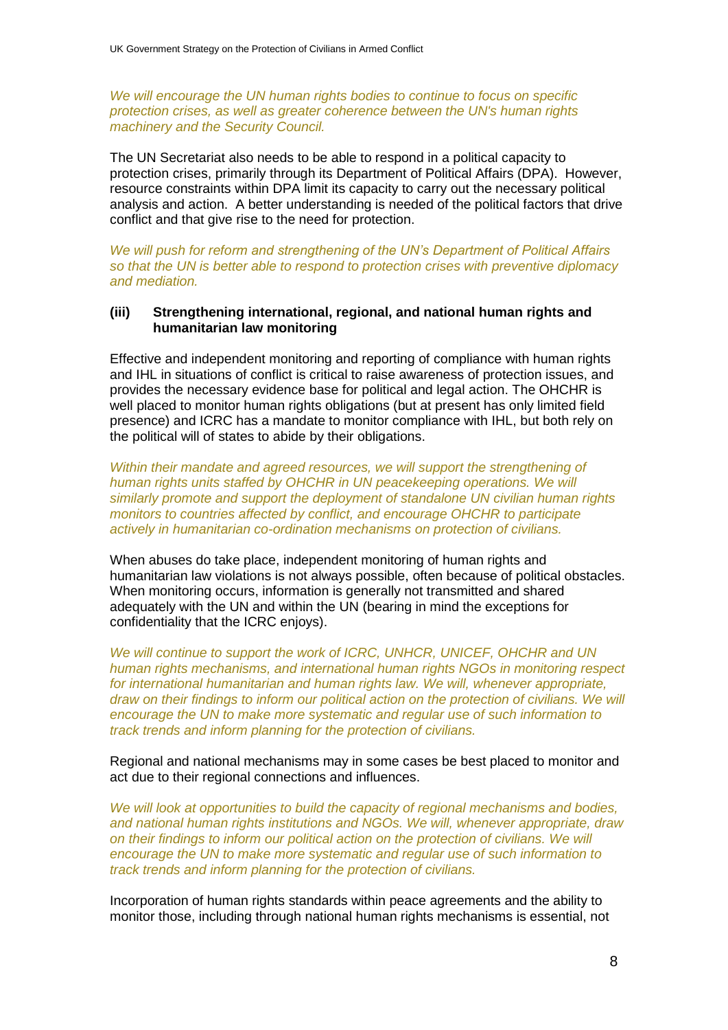*We will encourage the UN human rights bodies to continue to focus on specific protection crises, as well as greater coherence between the UN's human rights machinery and the Security Council.* 

The UN Secretariat also needs to be able to respond in a political capacity to protection crises, primarily through its Department of Political Affairs (DPA). However, resource constraints within DPA limit its capacity to carry out the necessary political analysis and action. A better understanding is needed of the political factors that drive conflict and that give rise to the need for protection.

*We will push for reform and strengthening of the UN"s Department of Political Affairs so that the UN is better able to respond to protection crises with preventive diplomacy and mediation.*

#### **(iii) Strengthening international, regional, and national human rights and humanitarian law monitoring**

Effective and independent monitoring and reporting of compliance with human rights and IHL in situations of conflict is critical to raise awareness of protection issues, and provides the necessary evidence base for political and legal action. The OHCHR is well placed to monitor human rights obligations (but at present has only limited field presence) and ICRC has a mandate to monitor compliance with IHL, but both rely on the political will of states to abide by their obligations.

*Within their mandate and agreed resources, we will support the strengthening of human rights units staffed by OHCHR in UN peacekeeping operations. We will similarly promote and support the deployment of standalone UN civilian human rights monitors to countries affected by conflict, and encourage OHCHR to participate actively in humanitarian co-ordination mechanisms on protection of civilians.*

When abuses do take place, independent monitoring of human rights and humanitarian law violations is not always possible, often because of political obstacles. When monitoring occurs, information is generally not transmitted and shared adequately with the UN and within the UN (bearing in mind the exceptions for confidentiality that the ICRC enjoys).

*We will continue to support the work of ICRC, UNHCR, UNICEF, OHCHR and UN human rights mechanisms, and international human rights NGOs in monitoring respect for international humanitarian and human rights law. We will, whenever appropriate, draw on their findings to inform our political action on the protection of civilians. We will encourage the UN to make more systematic and regular use of such information to track trends and inform planning for the protection of civilians.*

Regional and national mechanisms may in some cases be best placed to monitor and act due to their regional connections and influences.

*We will look at opportunities to build the capacity of regional mechanisms and bodies, and national human rights institutions and NGOs. We will, whenever appropriate, draw on their findings to inform our political action on the protection of civilians. We will encourage the UN to make more systematic and regular use of such information to track trends and inform planning for the protection of civilians.*

Incorporation of human rights standards within peace agreements and the ability to monitor those, including through national human rights mechanisms is essential, not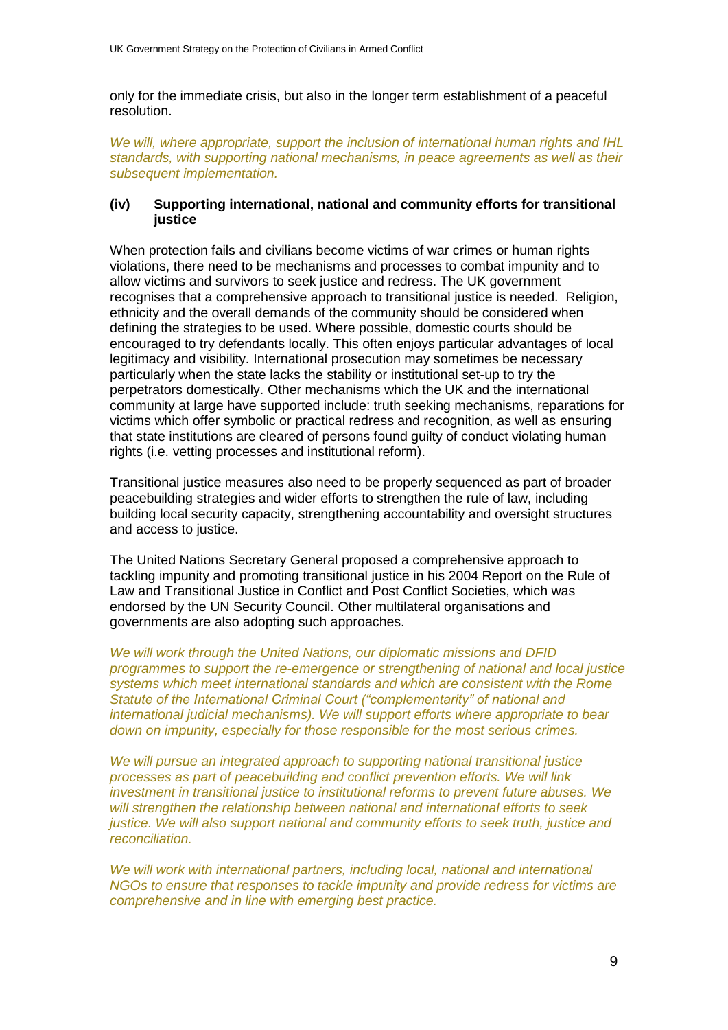only for the immediate crisis, but also in the longer term establishment of a peaceful resolution.

*We will, where appropriate, support the inclusion of international human rights and IHL standards, with supporting national mechanisms, in peace agreements as well as their subsequent implementation.*

#### **(iv) Supporting international, national and community efforts for transitional justice**

When protection fails and civilians become victims of war crimes or human rights violations, there need to be mechanisms and processes to combat impunity and to allow victims and survivors to seek justice and redress. The UK government recognises that a comprehensive approach to transitional justice is needed. Religion, ethnicity and the overall demands of the community should be considered when defining the strategies to be used. Where possible, domestic courts should be encouraged to try defendants locally. This often enjoys particular advantages of local legitimacy and visibility. International prosecution may sometimes be necessary particularly when the state lacks the stability or institutional set-up to try the perpetrators domestically. Other mechanisms which the UK and the international community at large have supported include: truth seeking mechanisms, reparations for victims which offer symbolic or practical redress and recognition, as well as ensuring that state institutions are cleared of persons found guilty of conduct violating human rights (i.e. vetting processes and institutional reform).

Transitional justice measures also need to be properly sequenced as part of broader peacebuilding strategies and wider efforts to strengthen the rule of law, including building local security capacity, strengthening accountability and oversight structures and access to justice.

The United Nations Secretary General proposed a comprehensive approach to tackling impunity and promoting transitional justice in his 2004 Report on the Rule of Law and Transitional Justice in Conflict and Post Conflict Societies, which was endorsed by the UN Security Council. Other multilateral organisations and governments are also adopting such approaches.

*We will work through the United Nations, our diplomatic missions and DFID programmes to support the re-emergence or strengthening of national and local justice systems which meet international standards and which are consistent with the Rome Statute of the International Criminal Court ("complementarity" of national and international judicial mechanisms). We will support efforts where appropriate to bear down on impunity, especially for those responsible for the most serious crimes.*

*We will pursue an integrated approach to supporting national transitional justice processes as part of peacebuilding and conflict prevention efforts. We will link investment in transitional justice to institutional reforms to prevent future abuses. We will strengthen the relationship between national and international efforts to seek justice. We will also support national and community efforts to seek truth, justice and reconciliation.* 

*We will work with international partners, including local, national and international NGOs to ensure that responses to tackle impunity and provide redress for victims are comprehensive and in line with emerging best practice.*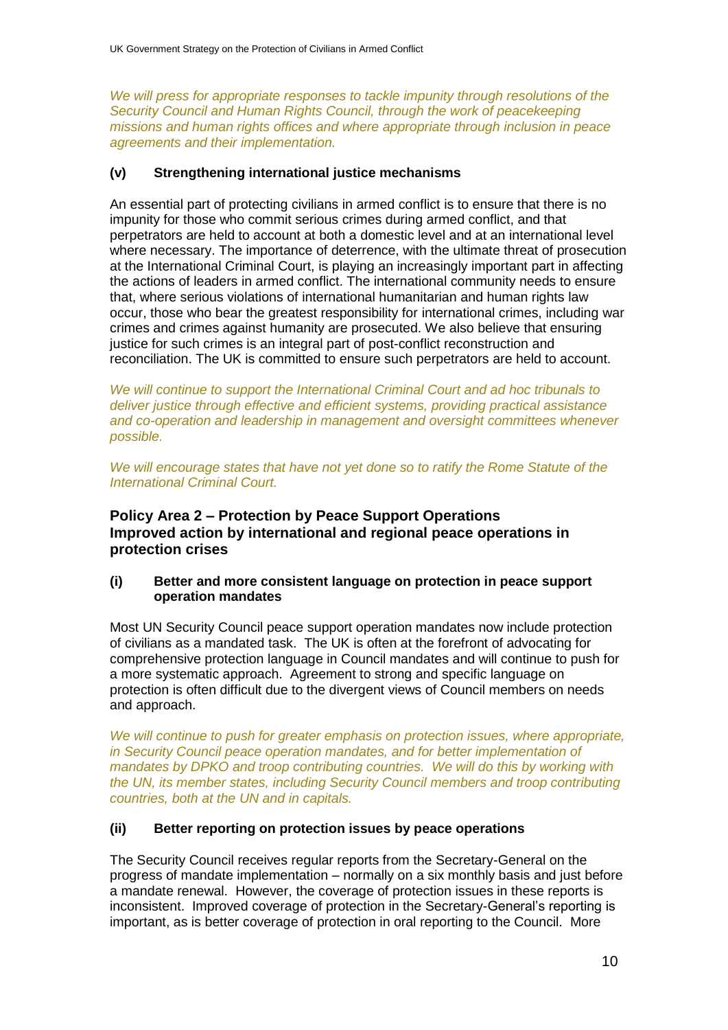*We will press for appropriate responses to tackle impunity through resolutions of the Security Council and Human Rights Council, through the work of peacekeeping missions and human rights offices and where appropriate through inclusion in peace agreements and their implementation.*

## **(v) Strengthening international justice mechanisms**

An essential part of protecting civilians in armed conflict is to ensure that there is no impunity for those who commit serious crimes during armed conflict, and that perpetrators are held to account at both a domestic level and at an international level where necessary. The importance of deterrence, with the ultimate threat of prosecution at the International Criminal Court, is playing an increasingly important part in affecting the actions of leaders in armed conflict. The international community needs to ensure that, where serious violations of international humanitarian and human rights law occur, those who bear the greatest responsibility for international crimes, including war crimes and crimes against humanity are prosecuted. We also believe that ensuring justice for such crimes is an integral part of post-conflict reconstruction and reconciliation. The UK is committed to ensure such perpetrators are held to account.

*We will continue to support the International Criminal Court and ad hoc tribunals to deliver justice through effective and efficient systems, providing practical assistance and co-operation and leadership in management and oversight committees whenever possible.* 

*We will encourage states that have not yet done so to ratify the Rome Statute of the International Criminal Court.*

# **Policy Area 2 – Protection by Peace Support Operations Improved action by international and regional peace operations in protection crises**

#### **(i) Better and more consistent language on protection in peace support operation mandates**

Most UN Security Council peace support operation mandates now include protection of civilians as a mandated task. The UK is often at the forefront of advocating for comprehensive protection language in Council mandates and will continue to push for a more systematic approach. Agreement to strong and specific language on protection is often difficult due to the divergent views of Council members on needs and approach.

*We will continue to push for greater emphasis on protection issues, where appropriate, in Security Council peace operation mandates, and for better implementation of mandates by DPKO and troop contributing countries. We will do this by working with the UN, its member states, including Security Council members and troop contributing countries, both at the UN and in capitals.*

## **(ii) Better reporting on protection issues by peace operations**

The Security Council receives regular reports from the Secretary-General on the progress of mandate implementation – normally on a six monthly basis and just before a mandate renewal. However, the coverage of protection issues in these reports is inconsistent. Improved coverage of protection in the Secretary-General"s reporting is important, as is better coverage of protection in oral reporting to the Council. More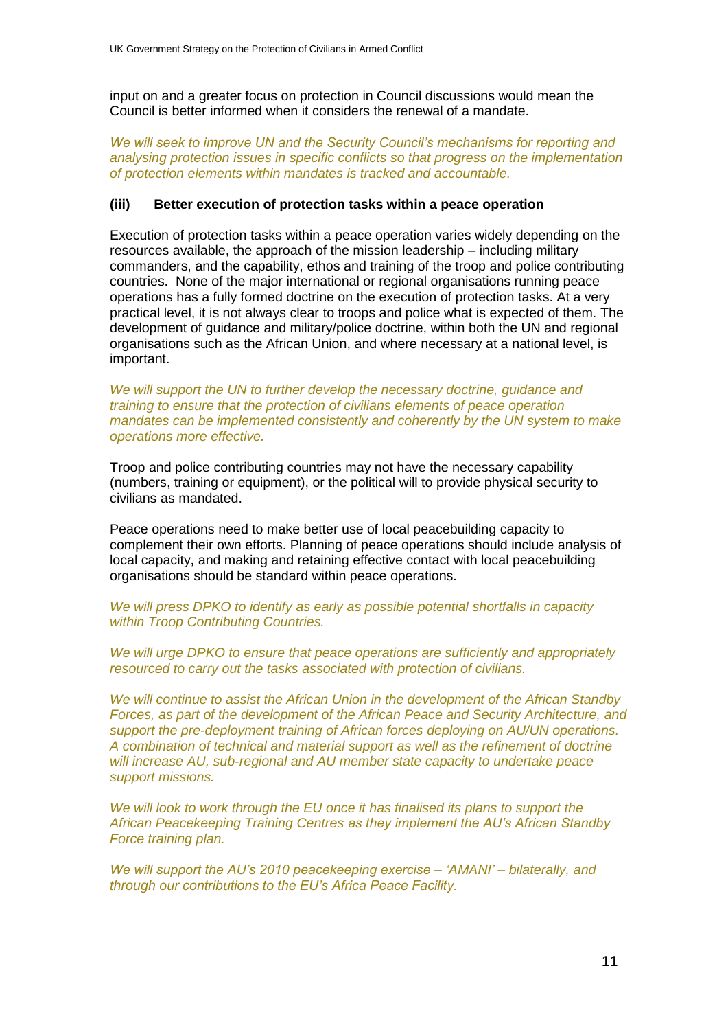input on and a greater focus on protection in Council discussions would mean the Council is better informed when it considers the renewal of a mandate.

*We will seek to improve UN and the Security Council"s mechanisms for reporting and analysing protection issues in specific conflicts so that progress on the implementation of protection elements within mandates is tracked and accountable.*

#### **(iii) Better execution of protection tasks within a peace operation**

Execution of protection tasks within a peace operation varies widely depending on the resources available, the approach of the mission leadership – including military commanders, and the capability, ethos and training of the troop and police contributing countries. None of the major international or regional organisations running peace operations has a fully formed doctrine on the execution of protection tasks. At a very practical level, it is not always clear to troops and police what is expected of them. The development of guidance and military/police doctrine, within both the UN and regional organisations such as the African Union, and where necessary at a national level, is important.

*We will support the UN to further develop the necessary doctrine, guidance and training to ensure that the protection of civilians elements of peace operation mandates can be implemented consistently and coherently by the UN system to make operations more effective.*

Troop and police contributing countries may not have the necessary capability (numbers, training or equipment), or the political will to provide physical security to civilians as mandated.

Peace operations need to make better use of local peacebuilding capacity to complement their own efforts. Planning of peace operations should include analysis of local capacity, and making and retaining effective contact with local peacebuilding organisations should be standard within peace operations.

#### *We will press DPKO to identify as early as possible potential shortfalls in capacity within Troop Contributing Countries.*

*We will urge DPKO to ensure that peace operations are sufficiently and appropriately resourced to carry out the tasks associated with protection of civilians.*

*We will continue to assist the African Union in the development of the African Standby Forces, as part of the development of the African Peace and Security Architecture, and support the pre-deployment training of African forces deploying on AU/UN operations. A combination of technical and material support as well as the refinement of doctrine will increase AU, sub-regional and AU member state capacity to undertake peace support missions.* 

We will look to work through the EU once it has finalised its plans to support the *African Peacekeeping Training Centres as they implement the AU"s African Standby Force training plan.*

*We will support the AU"s 2010 peacekeeping exercise – "AMANI" – bilaterally, and through our contributions to the EU"s Africa Peace Facility.*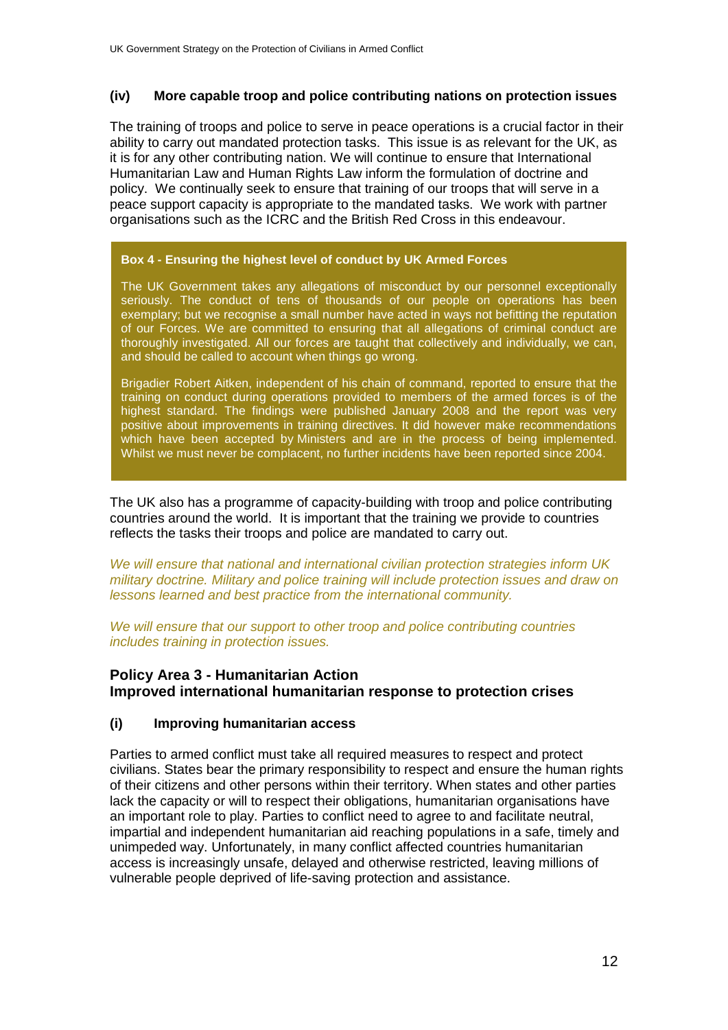## **(iv) More capable troop and police contributing nations on protection issues**

The training of troops and police to serve in peace operations is a crucial factor in their ability to carry out mandated protection tasks. This issue is as relevant for the UK, as it is for any other contributing nation. We will continue to ensure that International Humanitarian Law and Human Rights Law inform the formulation of doctrine and policy. We continually seek to ensure that training of our troops that will serve in a peace support capacity is appropriate to the mandated tasks. We work with partner organisations such as the ICRC and the British Red Cross in this endeavour.

#### **Box 4 - Ensuring the highest level of conduct by UK Armed Forces**

The UK Government takes any allegations of misconduct by our personnel exceptionally seriously. The conduct of tens of thousands of our people on operations has been exemplary; but we recognise a small number have acted in ways not befitting the reputation of our Forces. We are committed to ensuring that all allegations of criminal conduct are thoroughly investigated. All our forces are taught that collectively and individually, we can, and should be called to account when things go wrong.

Brigadier Robert Aitken, independent of his chain of command, reported to ensure that the training on conduct during operations provided to members of the armed forces is of the highest standard. The findings were published January 2008 and the report was very positive about improvements in training directives. It did however make recommendations which have been accepted by Ministers and are in the process of being implemented. Whilst we must never be complacent, no further incidents have been reported since 2004.

The UK also has a programme of capacity-building with troop and police contributing countries around the world. It is important that the training we provide to countries reflects the tasks their troops and police are mandated to carry out.

*We will ensure that national and international civilian protection strategies inform UK military doctrine. Military and police training will include protection issues and draw on lessons learned and best practice from the international community.*

*We will ensure that our support to other troop and police contributing countries includes training in protection issues.*

# **Policy Area 3 - Humanitarian Action Improved international humanitarian response to protection crises**

#### **(i) Improving humanitarian access**

Parties to armed conflict must take all required measures to respect and protect civilians. States bear the primary responsibility to respect and ensure the human rights of their citizens and other persons within their territory. When states and other parties lack the capacity or will to respect their obligations, humanitarian organisations have an important role to play. Parties to conflict need to agree to and facilitate neutral, impartial and independent humanitarian aid reaching populations in a safe, timely and unimpeded way. Unfortunately, in many conflict affected countries humanitarian access is increasingly unsafe, delayed and otherwise restricted, leaving millions of vulnerable people deprived of life-saving protection and assistance.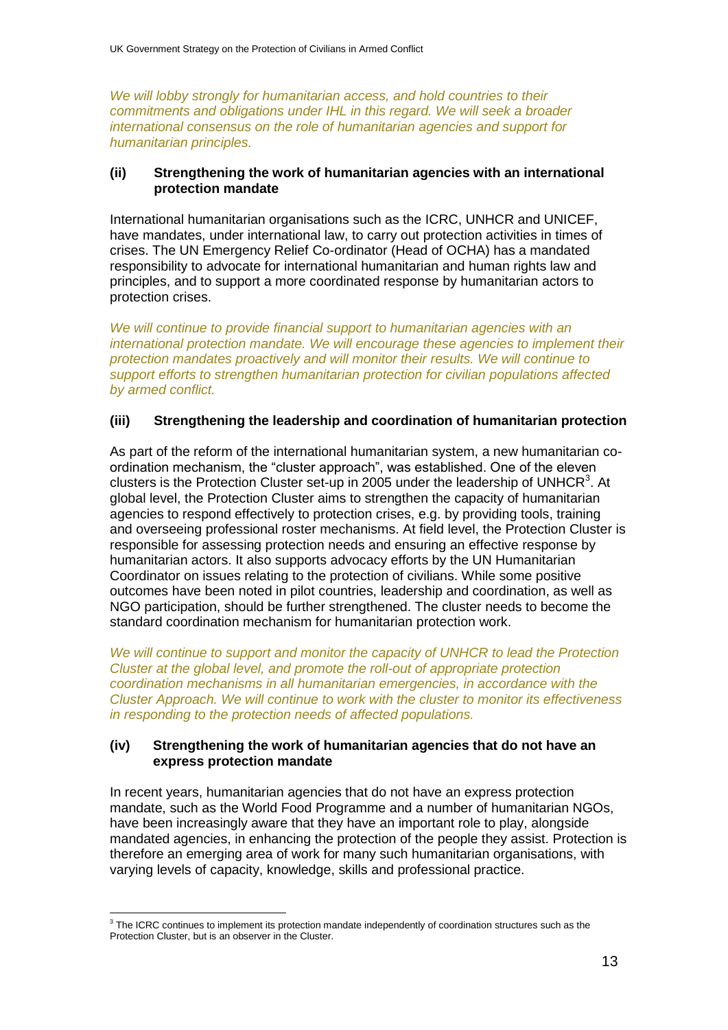*We will lobby strongly for humanitarian access, and hold countries to their commitments and obligations under IHL in this regard. We will seek a broader international consensus on the role of humanitarian agencies and support for humanitarian principles.*

## **(ii) Strengthening the work of humanitarian agencies with an international protection mandate**

International humanitarian organisations such as the ICRC, UNHCR and UNICEF, have mandates, under international law, to carry out protection activities in times of crises. The UN Emergency Relief Co-ordinator (Head of OCHA) has a mandated responsibility to advocate for international humanitarian and human rights law and principles, and to support a more coordinated response by humanitarian actors to protection crises.

*We will continue to provide financial support to humanitarian agencies with an international protection mandate. We will encourage these agencies to implement their protection mandates proactively and will monitor their results. We will continue to support efforts to strengthen humanitarian protection for civilian populations affected by armed conflict.*

## **(iii) Strengthening the leadership and coordination of humanitarian protection**

As part of the reform of the international humanitarian system, a new humanitarian coordination mechanism, the "cluster approach", was established. One of the eleven clusters is the Protection Cluster set-up in 2005 under the leadership of UNHCR $3$ . At global level, the Protection Cluster aims to strengthen the capacity of humanitarian agencies to respond effectively to protection crises, e.g. by providing tools, training and overseeing professional roster mechanisms. At field level, the Protection Cluster is responsible for assessing protection needs and ensuring an effective response by humanitarian actors. It also supports advocacy efforts by the UN Humanitarian Coordinator on issues relating to the protection of civilians. While some positive outcomes have been noted in pilot countries, leadership and coordination, as well as NGO participation, should be further strengthened. The cluster needs to become the standard coordination mechanism for humanitarian protection work.

*We will continue to support and monitor the capacity of UNHCR to lead the Protection Cluster at the global level, and promote the roll-out of appropriate protection coordination mechanisms in all humanitarian emergencies, in accordance with the Cluster Approach. We will continue to work with the cluster to monitor its effectiveness in responding to the protection needs of affected populations.*

## **(iv) Strengthening the work of humanitarian agencies that do not have an express protection mandate**

In recent years, humanitarian agencies that do not have an express protection mandate, such as the World Food Programme and a number of humanitarian NGOs, have been increasingly aware that they have an important role to play, alongside mandated agencies, in enhancing the protection of the people they assist. Protection is therefore an emerging area of work for many such humanitarian organisations, with varying levels of capacity, knowledge, skills and professional practice.

 3 The ICRC continues to implement its protection mandate independently of coordination structures such as the Protection Cluster, but is an observer in the Cluster.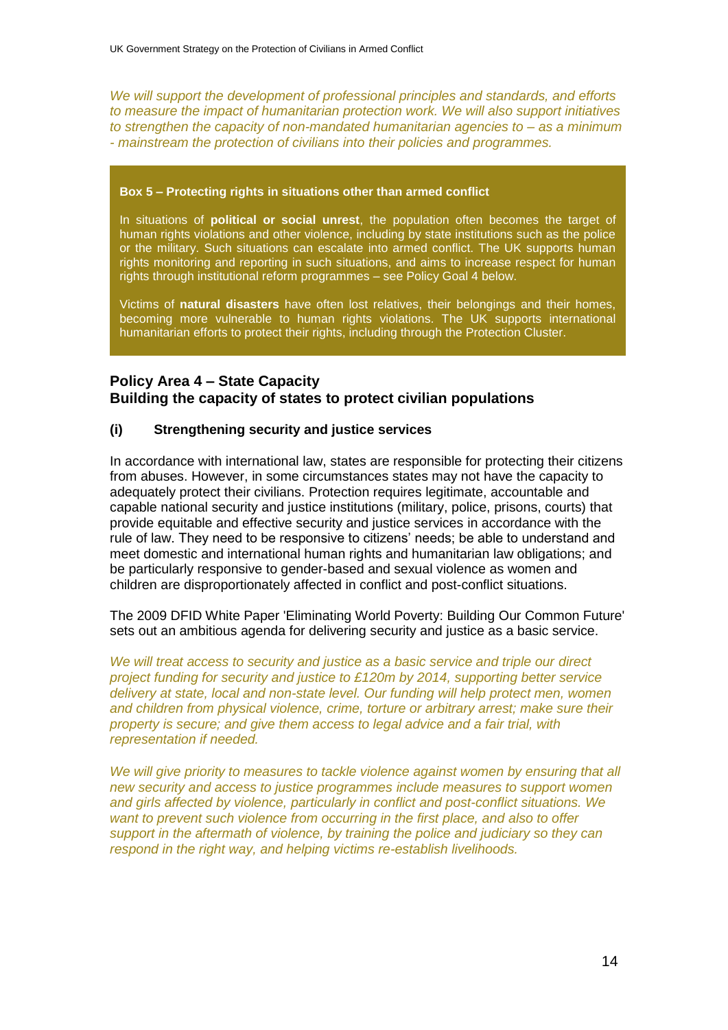*We will support the development of professional principles and standards, and efforts to measure the impact of humanitarian protection work. We will also support initiatives to strengthen the capacity of non-mandated humanitarian agencies to – as a minimum - mainstream the protection of civilians into their policies and programmes.*

#### **Box 5 – Protecting rights in situations other than armed conflict**

In situations of **political or social unrest**, the population often becomes the target of human rights violations and other violence, including by state institutions such as the police or the military. Such situations can escalate into armed conflict. The UK supports human rights monitoring and reporting in such situations, and aims to increase respect for human rights through institutional reform programmes – see Policy Goal 4 below.

Victims of **natural disasters** have often lost relatives, their belongings and their homes, becoming more vulnerable to human rights violations. The UK supports international humanitarian efforts to protect their rights, including through the Protection Cluster.

# **Policy Area 4 – State Capacity Building the capacity of states to protect civilian populations**

## **(i) Strengthening security and justice services**

In accordance with international law, states are responsible for protecting their citizens from abuses. However, in some circumstances states may not have the capacity to adequately protect their civilians. Protection requires legitimate, accountable and capable national security and justice institutions (military, police, prisons, courts) that provide equitable and effective security and justice services in accordance with the rule of law. They need to be responsive to citizens" needs; be able to understand and meet domestic and international human rights and humanitarian law obligations; and be particularly responsive to gender-based and sexual violence as women and children are disproportionately affected in conflict and post-conflict situations.

The 2009 DFID White Paper 'Eliminating World Poverty: Building Our Common Future' sets out an ambitious agenda for delivering security and justice as a basic service.

*We will treat access to security and justice as a basic service and triple our direct project funding for security and justice to £120m by 2014, supporting better service delivery at state, local and non-state level. Our funding will help protect men, women and children from physical violence, crime, torture or arbitrary arrest; make sure their property is secure; and give them access to legal advice and a fair trial, with representation if needed.*

*We will give priority to measures to tackle violence against women by ensuring that all new security and access to justice programmes include measures to support women and girls affected by violence, particularly in conflict and post-conflict situations. We want to prevent such violence from occurring in the first place, and also to offer support in the aftermath of violence, by training the police and judiciary so they can respond in the right way, and helping victims re-establish livelihoods.*